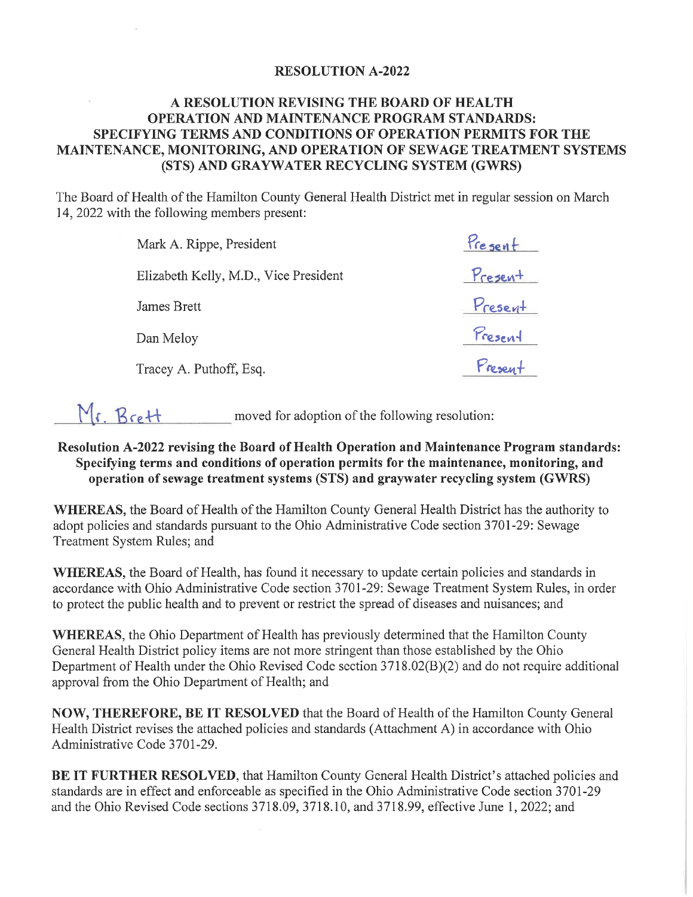#### **RESOLUTION A-2022**

### A RESOLUTION REVISING THE BOARD OF HEALTH **OPERATION AND MAINTENANCE PROGRAM STANDARDS:** SPECIFYING TERMS AND CONDITIONS OF OPERATION PERMITS FOR THE MAINTENANCE, MONITORING, AND OPERATION OF SEWAGE TREATMENT SYSTEMS (STS) AND GRAYWATER RECYCLING SYSTEM (GWRS)

The Board of Health of the Hamilton County General Health District met in regular session on March 14, 2022 with the following members present:

| Mark A. Rippe, President              | Present |
|---------------------------------------|---------|
| Elizabeth Kelly, M.D., Vice President | Present |
| James Brett                           | Present |
| Dan Meloy                             | Present |
| Tracey A. Puthoff, Esq.               | Present |

Mr. Brett moved for adoption of the following resolution:

### Resolution A-2022 revising the Board of Health Operation and Maintenance Program standards: Specifying terms and conditions of operation permits for the maintenance, monitoring, and operation of sewage treatment systems (STS) and graywater recycling system (GWRS)

WHEREAS, the Board of Health of the Hamilton County General Health District has the authority to adopt policies and standards pursuant to the Ohio Administrative Code section 3701-29: Sewage Treatment System Rules; and

**WHEREAS**, the Board of Health, has found it necessary to update certain policies and standards in accordance with Ohio Administrative Code section 3701-29: Sewage Treatment System Rules, in order to protect the public health and to prevent or restrict the spread of diseases and nuisances; and

WHEREAS, the Ohio Department of Health has previously determined that the Hamilton County General Health District policy items are not more stringent than those established by the Ohio Department of Health under the Ohio Revised Code section 3718.02(B)(2) and do not require additional approval from the Ohio Department of Health; and

**NOW, THEREFORE, BE IT RESOLVED** that the Board of Health of the Hamilton County General Health District revises the attached policies and standards (Attachment A) in accordance with Ohio Administrative Code 3701-29.

**BE IT FURTHER RESOLVED, that Hamilton County General Health District's attached policies and** standards are in effect and enforceable as specified in the Ohio Administrative Code section 3701-29 and the Ohio Revised Code sections 3718.09, 3718.10, and 3718.99, effective June 1, 2022; and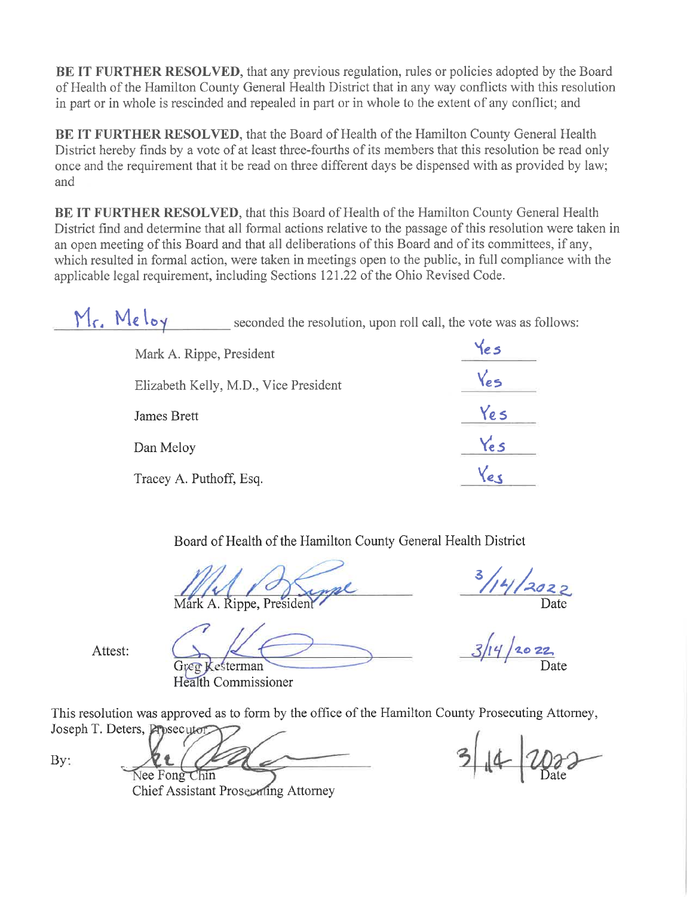BE IT FURTHER RESOLVED, that any previous regulation, rules or policies adopted by the Board of Health of the Hamilton County General Health District that in any way conflicts with this resolution in part or in whole is rescinded and repealed in part or in whole to the extent of any conflict; and

BE IT FURTHER RESOLVED, that the Board of Health of the Hamilton County General Health District hereby finds by a vote of at least three-fourths of its members that this resolution be read only once and the requirement that it be read on three different days be dispensed with as provided by law; and

BE IT FURTHER RESOLVED, that this Board of Health of the Hamilton County General Health District find and determine that all formal actions relative to the passage of this resolution were taken in an open meeting of this Board and that all deliberations of this Board and of its committees, if any, which resulted in formal action, were taken in meetings open to the public, in full compliance with the applicable legal requirement, including Sections 121.22 of the Ohio Revised Code.

Mr. Meloy seconded the resolution, upon roll call, the vote was as follows:

| Mark A. Rippe, President              |      |
|---------------------------------------|------|
| Elizabeth Kelly, M.D., Vice President | Yes  |
| James Brett                           | Ye s |
| Dan Meloy                             | Yes  |
| Tracey A. Puthoff, Esq.               |      |

Board of Health of the Hamilton County General Health District

Mark A. Rippe, President

**Gree Kesterman** 

Health Commissioner

Attest:

This resolution was approved as to form by the office of the Hamilton County Prosecuting Attorney,

Joseph T. Deters, Prosecuter By: Nee Fong Chin

**Chief Assistant Prosecuting Attorney**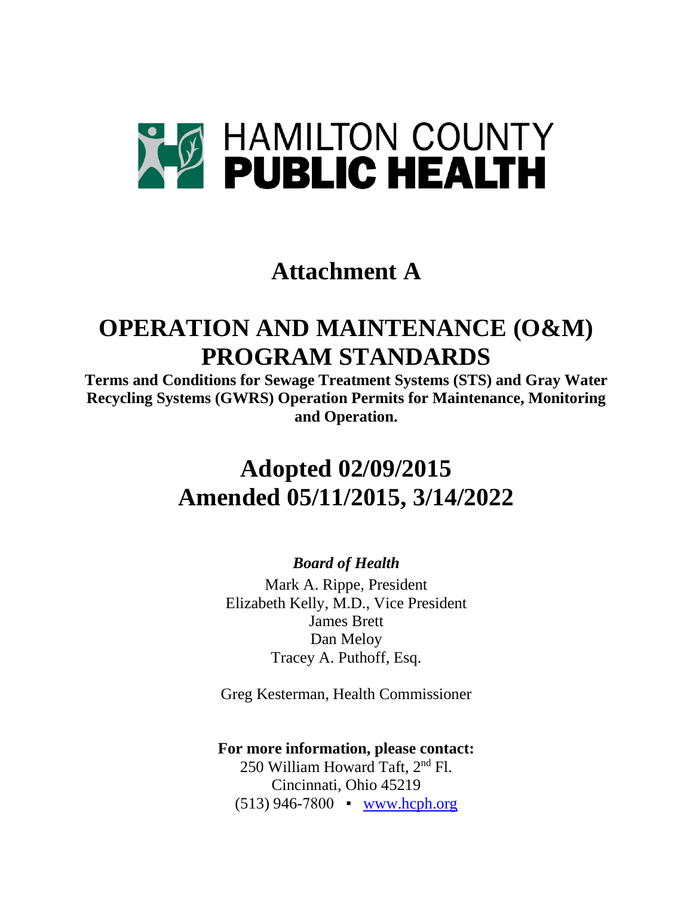

## **Attachment A**

# **OPERATION AND MAINTENANCE (O&M) PROGRAM STANDARDS**

**Terms and Conditions for Sewage Treatment Systems (STS) and Gray Water Recycling Systems (GWRS) Operation Permits for Maintenance, Monitoring and Operation.** 

## **Adopted 02/09/2015 Amended 05/11/2015, 3/14/2022**

### *Board of Health*

Mark A. Rippe, President Elizabeth Kelly, M.D., Vice President James Brett Dan Meloy Tracey A. Puthoff, Esq.

Greg Kesterman, Health Commissioner

### **For more information, please contact:**

250 William Howard Taft, 2nd Fl. Cincinnati, Ohio 45219  $(513)$  946-7800  $\bullet$  [www.hcph.org](http://www.hcph.org/)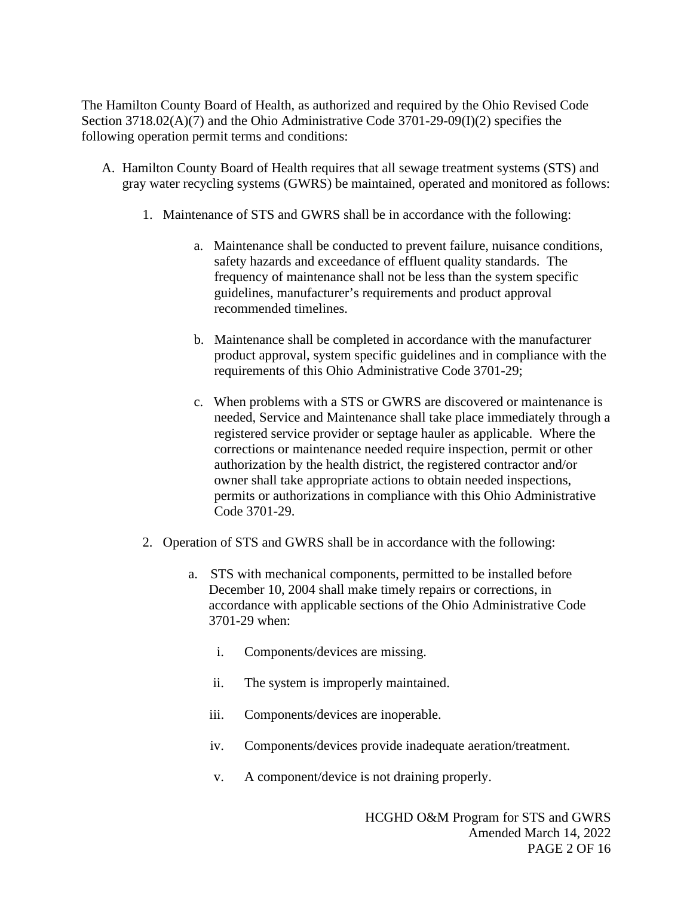The Hamilton County Board of Health, as authorized and required by the Ohio Revised Code Section 3718.02(A)(7) and the Ohio Administrative Code 3701-29-09(I)(2) specifies the following operation permit terms and conditions:

- A. Hamilton County Board of Health requires that all sewage treatment systems (STS) and gray water recycling systems (GWRS) be maintained, operated and monitored as follows:
	- 1. Maintenance of STS and GWRS shall be in accordance with the following:
		- a. Maintenance shall be conducted to prevent failure, nuisance conditions, safety hazards and exceedance of effluent quality standards. The frequency of maintenance shall not be less than the system specific guidelines, manufacturer's requirements and product approval recommended timelines.
		- b. Maintenance shall be completed in accordance with the manufacturer product approval, system specific guidelines and in compliance with the requirements of this Ohio Administrative Code 3701-29;
		- c. When problems with a STS or GWRS are discovered or maintenance is needed, Service and Maintenance shall take place immediately through a registered service provider or septage hauler as applicable. Where the corrections or maintenance needed require inspection, permit or other authorization by the health district, the registered contractor and/or owner shall take appropriate actions to obtain needed inspections, permits or authorizations in compliance with this Ohio Administrative Code 3701-29.
	- 2. Operation of STS and GWRS shall be in accordance with the following:
		- a. STS with mechanical components, permitted to be installed before December 10, 2004 shall make timely repairs or corrections, in accordance with applicable sections of the Ohio Administrative Code 3701-29 when:
			- i. Components/devices are missing.
			- ii. The system is improperly maintained.
			- iii. Components/devices are inoperable.
			- iv. Components/devices provide inadequate aeration/treatment.
			- v. A component/device is not draining properly.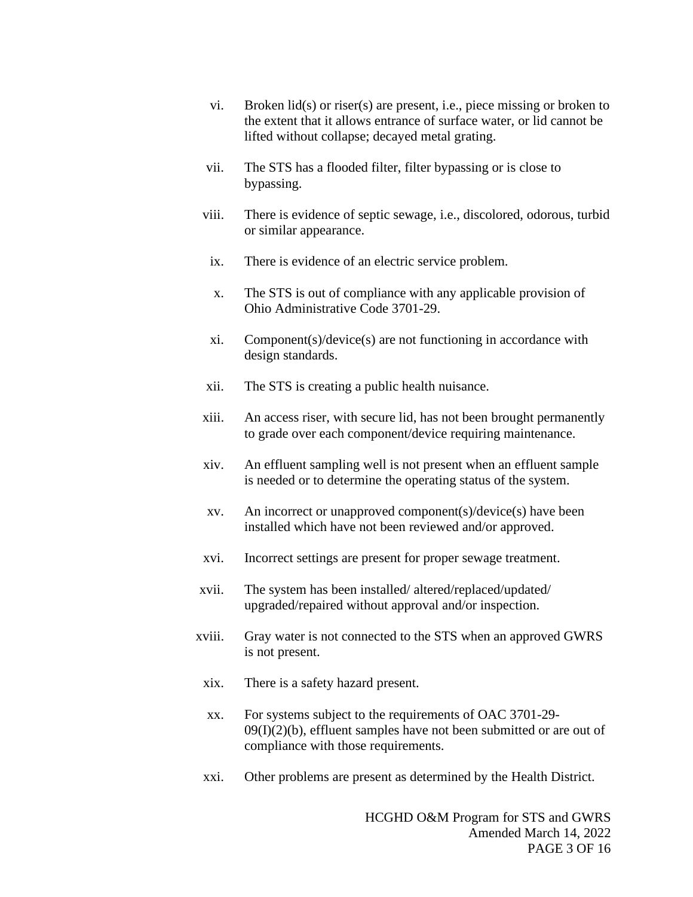- vi. Broken lid(s) or riser(s) are present, i.e., piece missing or broken to the extent that it allows entrance of surface water, or lid cannot be lifted without collapse; decayed metal grating.
- vii. The STS has a flooded filter, filter bypassing or is close to bypassing.
- viii. There is evidence of septic sewage, i.e., discolored, odorous, turbid or similar appearance.
	- ix. There is evidence of an electric service problem.
	- x. The STS is out of compliance with any applicable provision of Ohio Administrative Code 3701-29.
	- xi. Component(s)/device(s) are not functioning in accordance with design standards.
- xii. The STS is creating a public health nuisance.
- xiii. An access riser, with secure lid, has not been brought permanently to grade over each component/device requiring maintenance.
- xiv. An effluent sampling well is not present when an effluent sample is needed or to determine the operating status of the system.
- xv. An incorrect or unapproved component(s)/device(s) have been installed which have not been reviewed and/or approved.
- xvi. Incorrect settings are present for proper sewage treatment.
- xvii. The system has been installed/ altered/replaced/updated/ upgraded/repaired without approval and/or inspection.
- xviii. Gray water is not connected to the STS when an approved GWRS is not present.
	- xix. There is a safety hazard present.
	- xx. For systems subject to the requirements of OAC 3701-29-  $09(I)(2)(b)$ , effluent samples have not been submitted or are out of compliance with those requirements.
	- xxi. Other problems are present as determined by the Health District.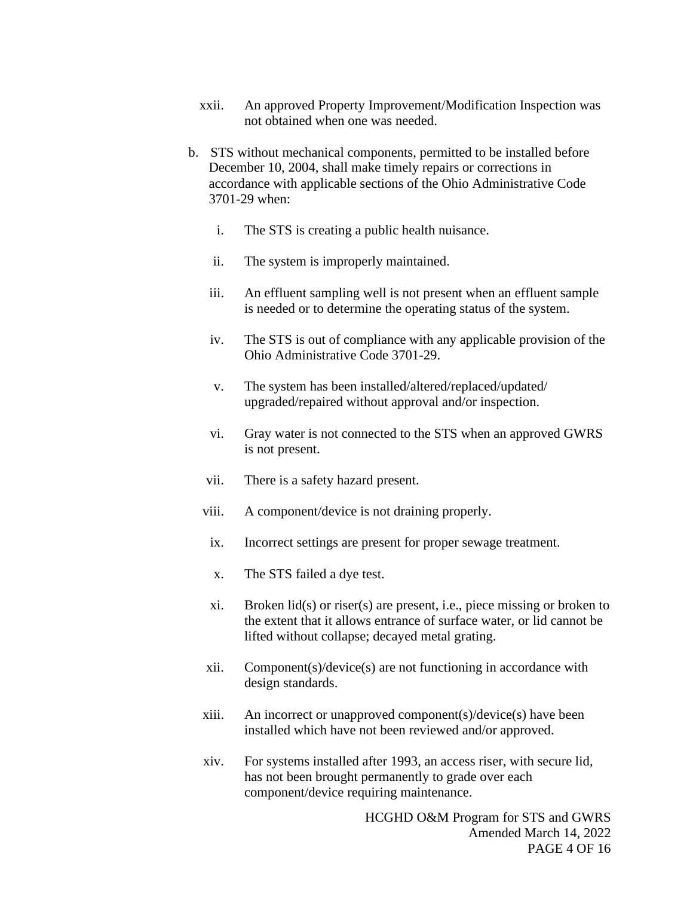- xxii. An approved Property Improvement/Modification Inspection was not obtained when one was needed.
- b. STS without mechanical components, permitted to be installed before December 10, 2004, shall make timely repairs or corrections in accordance with applicable sections of the Ohio Administrative Code 3701-29 when:
	- i. The STS is creating a public health nuisance.
	- ii. The system is improperly maintained.
	- iii. An effluent sampling well is not present when an effluent sample is needed or to determine the operating status of the system.
	- iv. The STS is out of compliance with any applicable provision of the Ohio Administrative Code 3701-29.
	- v. The system has been installed/altered/replaced/updated/ upgraded/repaired without approval and/or inspection.
	- vi. Gray water is not connected to the STS when an approved GWRS is not present.
	- vii. There is a safety hazard present.
	- viii. A component/device is not draining properly.
	- ix. Incorrect settings are present for proper sewage treatment.
	- x. The STS failed a dye test.
	- xi. Broken lid(s) or riser(s) are present, i.e., piece missing or broken to the extent that it allows entrance of surface water, or lid cannot be lifted without collapse; decayed metal grating.
	- xii. Component(s)/device(s) are not functioning in accordance with design standards.
	- xiii. An incorrect or unapproved component(s)/device(s) have been installed which have not been reviewed and/or approved.
	- xiv. For systems installed after 1993, an access riser, with secure lid, has not been brought permanently to grade over each component/device requiring maintenance.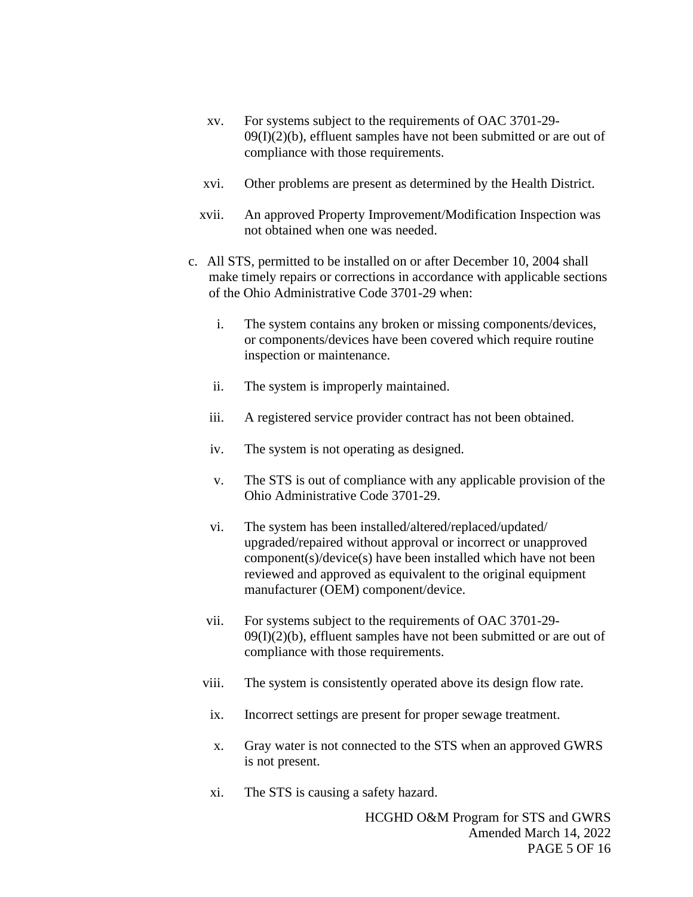- xv. For systems subject to the requirements of OAC 3701-29-  $09(I)(2)(b)$ , effluent samples have not been submitted or are out of compliance with those requirements.
- xvi. Other problems are present as determined by the Health District.
- xvii. An approved Property Improvement/Modification Inspection was not obtained when one was needed.
- c. All STS, permitted to be installed on or after December 10, 2004 shall make timely repairs or corrections in accordance with applicable sections of the Ohio Administrative Code 3701-29 when:
	- i. The system contains any broken or missing components/devices, or components/devices have been covered which require routine inspection or maintenance.
	- ii. The system is improperly maintained.
	- iii. A registered service provider contract has not been obtained.
	- iv. The system is not operating as designed.
	- v. The STS is out of compliance with any applicable provision of the Ohio Administrative Code 3701-29.
	- vi. The system has been installed/altered/replaced/updated/ upgraded/repaired without approval or incorrect or unapproved component(s)/device(s) have been installed which have not been reviewed and approved as equivalent to the original equipment manufacturer (OEM) component/device.
	- vii. For systems subject to the requirements of OAC 3701-29-  $09(I)(2)(b)$ , effluent samples have not been submitted or are out of compliance with those requirements.
	- viii. The system is consistently operated above its design flow rate.
	- ix. Incorrect settings are present for proper sewage treatment.
	- x. Gray water is not connected to the STS when an approved GWRS is not present.
	- xi. The STS is causing a safety hazard.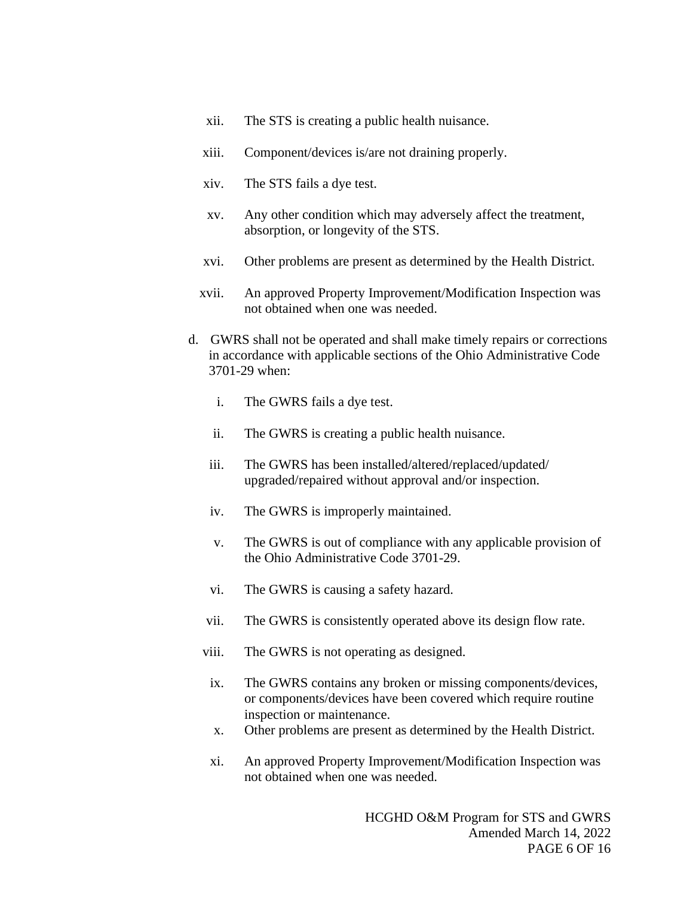- xii. The STS is creating a public health nuisance.
- xiii. Component/devices is/are not draining properly.
- xiv. The STS fails a dye test.
- xv. Any other condition which may adversely affect the treatment, absorption, or longevity of the STS.
- xvi. Other problems are present as determined by the Health District.
- xvii. An approved Property Improvement/Modification Inspection was not obtained when one was needed.
- d. GWRS shall not be operated and shall make timely repairs or corrections in accordance with applicable sections of the Ohio Administrative Code 3701-29 when:
	- i. The GWRS fails a dye test.
	- ii. The GWRS is creating a public health nuisance.
	- iii. The GWRS has been installed/altered/replaced/updated/ upgraded/repaired without approval and/or inspection.
	- iv. The GWRS is improperly maintained.
	- v. The GWRS is out of compliance with any applicable provision of the Ohio Administrative Code 3701-29.
	- vi. The GWRS is causing a safety hazard.
	- vii. The GWRS is consistently operated above its design flow rate.
	- viii. The GWRS is not operating as designed.
	- ix. The GWRS contains any broken or missing components/devices, or components/devices have been covered which require routine inspection or maintenance.
	- x. Other problems are present as determined by the Health District.
	- xi. An approved Property Improvement/Modification Inspection was not obtained when one was needed.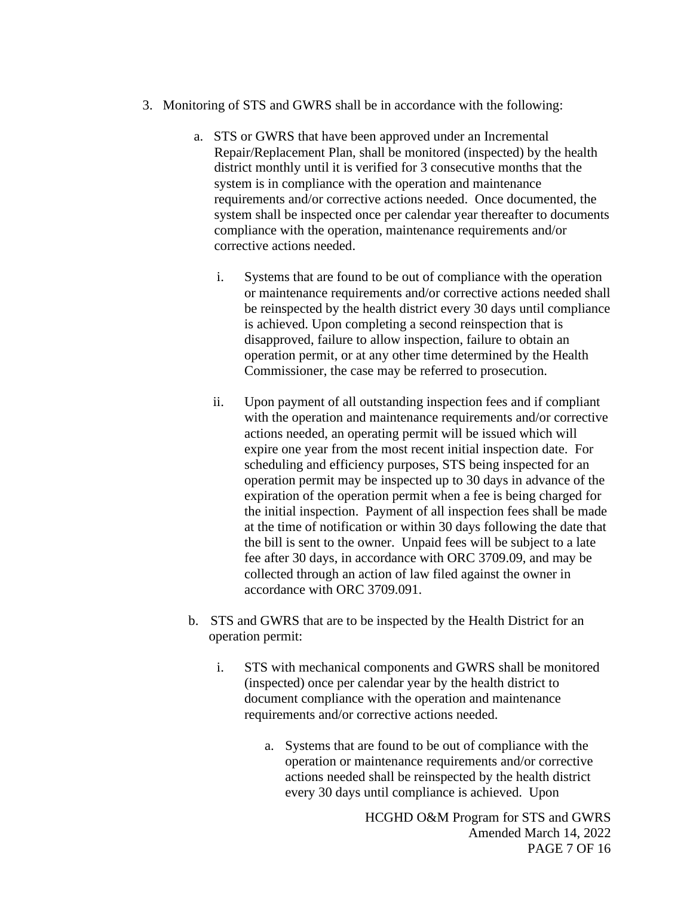- 3. Monitoring of STS and GWRS shall be in accordance with the following:
	- a. STS or GWRS that have been approved under an Incremental Repair/Replacement Plan, shall be monitored (inspected) by the health district monthly until it is verified for 3 consecutive months that the system is in compliance with the operation and maintenance requirements and/or corrective actions needed. Once documented, the system shall be inspected once per calendar year thereafter to documents compliance with the operation, maintenance requirements and/or corrective actions needed.
		- i. Systems that are found to be out of compliance with the operation or maintenance requirements and/or corrective actions needed shall be reinspected by the health district every 30 days until compliance is achieved. Upon completing a second reinspection that is disapproved, failure to allow inspection, failure to obtain an operation permit, or at any other time determined by the Health Commissioner, the case may be referred to prosecution.
		- ii. Upon payment of all outstanding inspection fees and if compliant with the operation and maintenance requirements and/or corrective actions needed, an operating permit will be issued which will expire one year from the most recent initial inspection date. For scheduling and efficiency purposes, STS being inspected for an operation permit may be inspected up to 30 days in advance of the expiration of the operation permit when a fee is being charged for the initial inspection. Payment of all inspection fees shall be made at the time of notification or within 30 days following the date that the bill is sent to the owner. Unpaid fees will be subject to a late fee after 30 days, in accordance with ORC 3709.09, and may be collected through an action of law filed against the owner in accordance with ORC 3709.091.
	- b. STS and GWRS that are to be inspected by the Health District for an operation permit:
		- i. STS with mechanical components and GWRS shall be monitored (inspected) once per calendar year by the health district to document compliance with the operation and maintenance requirements and/or corrective actions needed.
			- a. Systems that are found to be out of compliance with the operation or maintenance requirements and/or corrective actions needed shall be reinspected by the health district every 30 days until compliance is achieved. Upon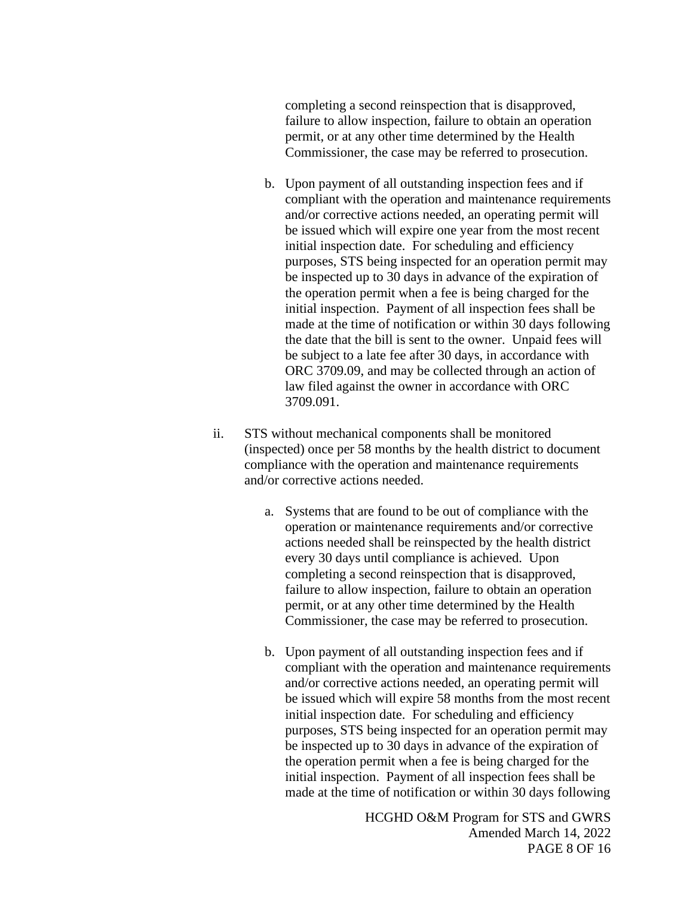completing a second reinspection that is disapproved, failure to allow inspection, failure to obtain an operation permit, or at any other time determined by the Health Commissioner, the case may be referred to prosecution.

- b. Upon payment of all outstanding inspection fees and if compliant with the operation and maintenance requirements and/or corrective actions needed, an operating permit will be issued which will expire one year from the most recent initial inspection date. For scheduling and efficiency purposes, STS being inspected for an operation permit may be inspected up to 30 days in advance of the expiration of the operation permit when a fee is being charged for the initial inspection. Payment of all inspection fees shall be made at the time of notification or within 30 days following the date that the bill is sent to the owner. Unpaid fees will be subject to a late fee after 30 days, in accordance with ORC 3709.09, and may be collected through an action of law filed against the owner in accordance with ORC 3709.091.
- ii. STS without mechanical components shall be monitored (inspected) once per 58 months by the health district to document compliance with the operation and maintenance requirements and/or corrective actions needed.
	- a. Systems that are found to be out of compliance with the operation or maintenance requirements and/or corrective actions needed shall be reinspected by the health district every 30 days until compliance is achieved. Upon completing a second reinspection that is disapproved, failure to allow inspection, failure to obtain an operation permit, or at any other time determined by the Health Commissioner, the case may be referred to prosecution.
	- b. Upon payment of all outstanding inspection fees and if compliant with the operation and maintenance requirements and/or corrective actions needed, an operating permit will be issued which will expire 58 months from the most recent initial inspection date. For scheduling and efficiency purposes, STS being inspected for an operation permit may be inspected up to 30 days in advance of the expiration of the operation permit when a fee is being charged for the initial inspection. Payment of all inspection fees shall be made at the time of notification or within 30 days following

HCGHD O&M Program for STS and GWRS Amended March 14, 2022 PAGE 8 OF 16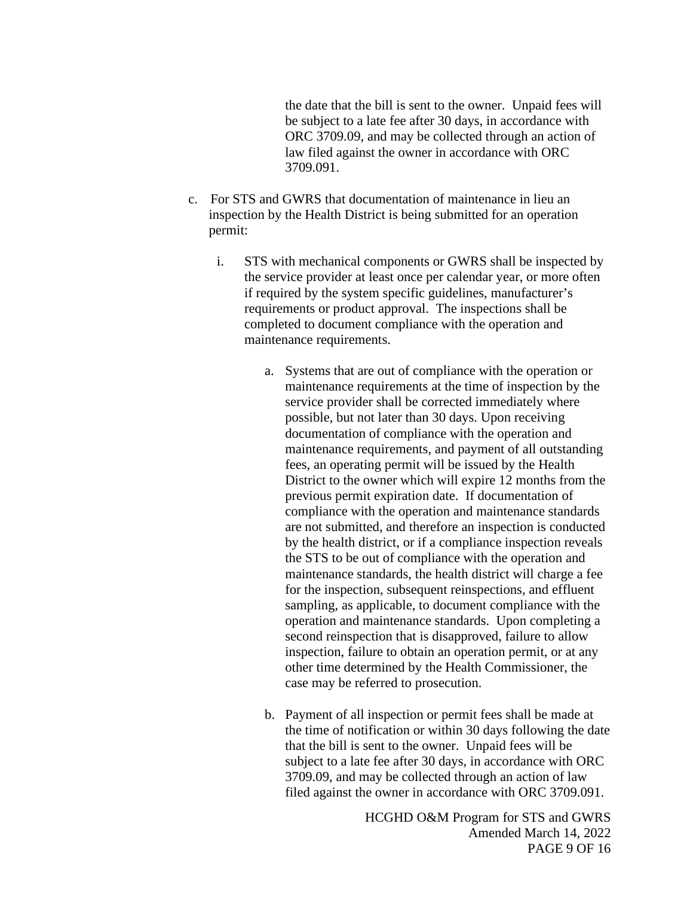the date that the bill is sent to the owner. Unpaid fees will be subject to a late fee after 30 days, in accordance with ORC 3709.09, and may be collected through an action of law filed against the owner in accordance with ORC 3709.091.

- c. For STS and GWRS that documentation of maintenance in lieu an inspection by the Health District is being submitted for an operation permit:
	- i. STS with mechanical components or GWRS shall be inspected by the service provider at least once per calendar year, or more often if required by the system specific guidelines, manufacturer's requirements or product approval. The inspections shall be completed to document compliance with the operation and maintenance requirements.
		- a. Systems that are out of compliance with the operation or maintenance requirements at the time of inspection by the service provider shall be corrected immediately where possible, but not later than 30 days. Upon receiving documentation of compliance with the operation and maintenance requirements, and payment of all outstanding fees, an operating permit will be issued by the Health District to the owner which will expire 12 months from the previous permit expiration date. If documentation of compliance with the operation and maintenance standards are not submitted, and therefore an inspection is conducted by the health district, or if a compliance inspection reveals the STS to be out of compliance with the operation and maintenance standards, the health district will charge a fee for the inspection, subsequent reinspections, and effluent sampling, as applicable, to document compliance with the operation and maintenance standards. Upon completing a second reinspection that is disapproved, failure to allow inspection, failure to obtain an operation permit, or at any other time determined by the Health Commissioner, the case may be referred to prosecution.
		- b. Payment of all inspection or permit fees shall be made at the time of notification or within 30 days following the date that the bill is sent to the owner. Unpaid fees will be subject to a late fee after 30 days, in accordance with ORC 3709.09, and may be collected through an action of law filed against the owner in accordance with ORC 3709.091.

HCGHD O&M Program for STS and GWRS Amended March 14, 2022 PAGE 9 OF 16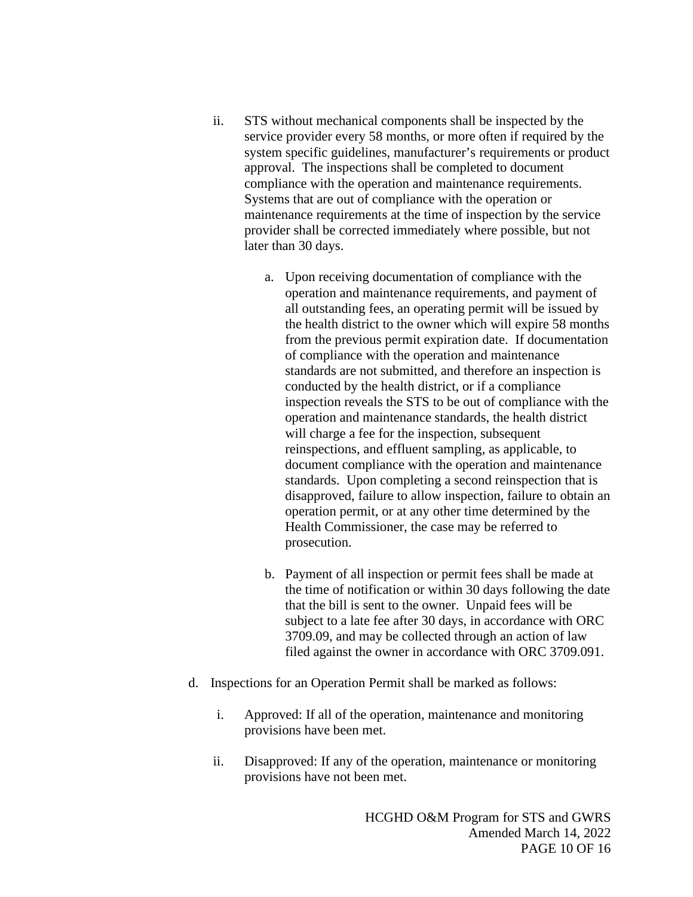- ii. STS without mechanical components shall be inspected by the service provider every 58 months, or more often if required by the system specific guidelines, manufacturer's requirements or product approval. The inspections shall be completed to document compliance with the operation and maintenance requirements. Systems that are out of compliance with the operation or maintenance requirements at the time of inspection by the service provider shall be corrected immediately where possible, but not later than 30 days.
	- a. Upon receiving documentation of compliance with the operation and maintenance requirements, and payment of all outstanding fees, an operating permit will be issued by the health district to the owner which will expire 58 months from the previous permit expiration date. If documentation of compliance with the operation and maintenance standards are not submitted, and therefore an inspection is conducted by the health district, or if a compliance inspection reveals the STS to be out of compliance with the operation and maintenance standards, the health district will charge a fee for the inspection, subsequent reinspections, and effluent sampling, as applicable, to document compliance with the operation and maintenance standards. Upon completing a second reinspection that is disapproved, failure to allow inspection, failure to obtain an operation permit, or at any other time determined by the Health Commissioner, the case may be referred to prosecution.
	- b. Payment of all inspection or permit fees shall be made at the time of notification or within 30 days following the date that the bill is sent to the owner. Unpaid fees will be subject to a late fee after 30 days, in accordance with ORC 3709.09, and may be collected through an action of law filed against the owner in accordance with ORC 3709.091.
- d. Inspections for an Operation Permit shall be marked as follows:
	- i. Approved: If all of the operation, maintenance and monitoring provisions have been met.
	- ii. Disapproved: If any of the operation, maintenance or monitoring provisions have not been met.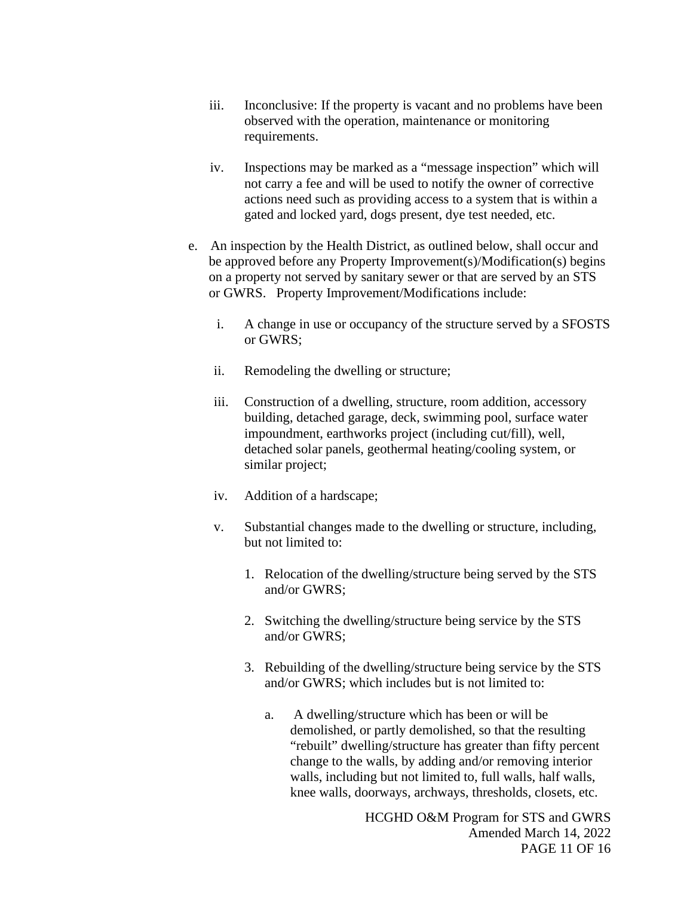- iii. Inconclusive: If the property is vacant and no problems have been observed with the operation, maintenance or monitoring requirements.
- iv. Inspections may be marked as a "message inspection" which will not carry a fee and will be used to notify the owner of corrective actions need such as providing access to a system that is within a gated and locked yard, dogs present, dye test needed, etc.
- e. An inspection by the Health District, as outlined below, shall occur and be approved before any Property Improvement(s)/Modification(s) begins on a property not served by sanitary sewer or that are served by an STS or GWRS. Property Improvement/Modifications include:
	- i. A change in use or occupancy of the structure served by a SFOSTS or GWRS;
	- ii. Remodeling the dwelling or structure;
	- iii. Construction of a dwelling, structure, room addition, accessory building, detached garage, deck, swimming pool, surface water impoundment, earthworks project (including cut/fill), well, detached solar panels, geothermal heating/cooling system, or similar project;
	- iv. Addition of a hardscape;
	- v. Substantial changes made to the dwelling or structure, including, but not limited to:
		- 1. Relocation of the dwelling/structure being served by the STS and/or GWRS;
		- 2. Switching the dwelling/structure being service by the STS and/or GWRS;
		- 3. Rebuilding of the dwelling/structure being service by the STS and/or GWRS; which includes but is not limited to:
			- a. A dwelling/structure which has been or will be demolished, or partly demolished, so that the resulting "rebuilt" dwelling/structure has greater than fifty percent change to the walls, by adding and/or removing interior walls, including but not limited to, full walls, half walls, knee walls, doorways, archways, thresholds, closets, etc.

HCGHD O&M Program for STS and GWRS Amended March 14, 2022 PAGE 11 OF 16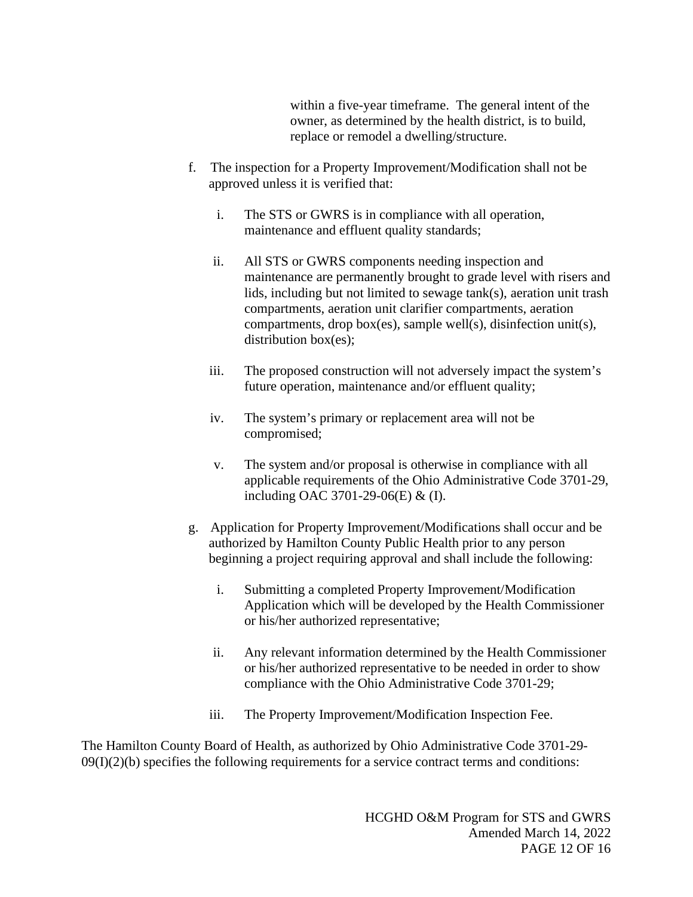within a five-year timeframe. The general intent of the owner, as determined by the health district, is to build, replace or remodel a dwelling/structure.

- f. The inspection for a Property Improvement/Modification shall not be approved unless it is verified that:
	- i. The STS or GWRS is in compliance with all operation, maintenance and effluent quality standards;
	- ii. All STS or GWRS components needing inspection and maintenance are permanently brought to grade level with risers and lids, including but not limited to sewage tank(s), aeration unit trash compartments, aeration unit clarifier compartments, aeration compartments, drop box(es), sample well(s), disinfection unit(s), distribution box(es);
	- iii. The proposed construction will not adversely impact the system's future operation, maintenance and/or effluent quality;
	- iv. The system's primary or replacement area will not be compromised;
	- v. The system and/or proposal is otherwise in compliance with all applicable requirements of the Ohio Administrative Code 3701-29, including OAC 3701-29-06(E) & (I).
- g. Application for Property Improvement/Modifications shall occur and be authorized by Hamilton County Public Health prior to any person beginning a project requiring approval and shall include the following:
	- i. Submitting a completed Property Improvement/Modification Application which will be developed by the Health Commissioner or his/her authorized representative;
	- ii. Any relevant information determined by the Health Commissioner or his/her authorized representative to be needed in order to show compliance with the Ohio Administrative Code 3701-29;
	- iii. The Property Improvement/Modification Inspection Fee.

The Hamilton County Board of Health, as authorized by Ohio Administrative Code 3701-29-  $09(I)(2)(b)$  specifies the following requirements for a service contract terms and conditions: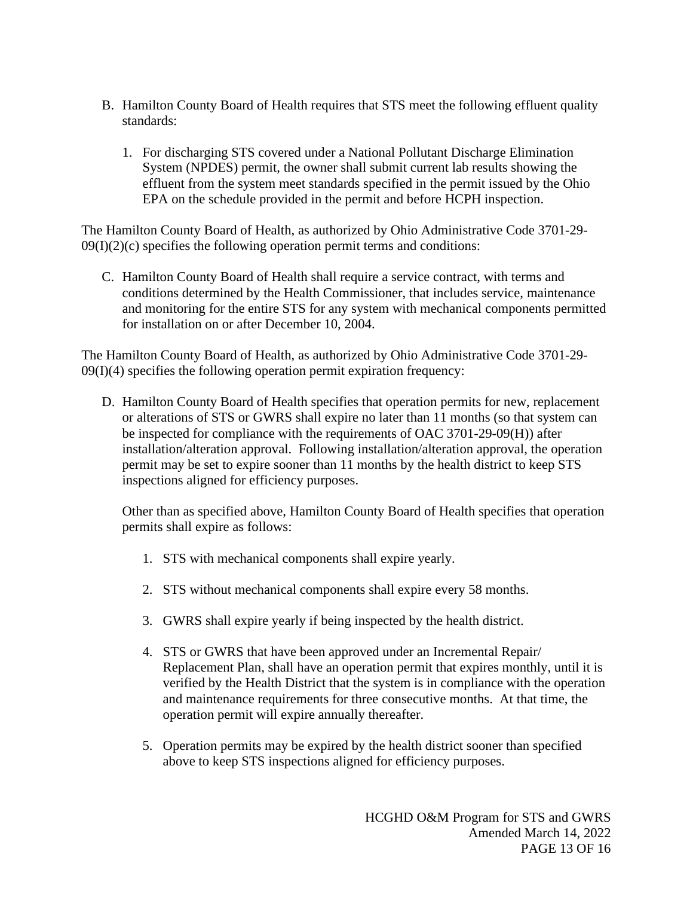- B. Hamilton County Board of Health requires that STS meet the following effluent quality standards:
	- 1. For discharging STS covered under a National Pollutant Discharge Elimination System (NPDES) permit, the owner shall submit current lab results showing the effluent from the system meet standards specified in the permit issued by the Ohio EPA on the schedule provided in the permit and before HCPH inspection.

The Hamilton County Board of Health, as authorized by Ohio Administrative Code 3701-29-  $09(I)(2)(c)$  specifies the following operation permit terms and conditions:

C. Hamilton County Board of Health shall require a service contract, with terms and conditions determined by the Health Commissioner, that includes service, maintenance and monitoring for the entire STS for any system with mechanical components permitted for installation on or after December 10, 2004.

The Hamilton County Board of Health, as authorized by Ohio Administrative Code 3701-29-  $09(I)(4)$  specifies the following operation permit expiration frequency:

D. Hamilton County Board of Health specifies that operation permits for new, replacement or alterations of STS or GWRS shall expire no later than 11 months (so that system can be inspected for compliance with the requirements of OAC 3701-29-09(H)) after installation/alteration approval. Following installation/alteration approval, the operation permit may be set to expire sooner than 11 months by the health district to keep STS inspections aligned for efficiency purposes.

Other than as specified above, Hamilton County Board of Health specifies that operation permits shall expire as follows:

- 1. STS with mechanical components shall expire yearly.
- 2. STS without mechanical components shall expire every 58 months.
- 3. GWRS shall expire yearly if being inspected by the health district.
- 4. STS or GWRS that have been approved under an Incremental Repair/ Replacement Plan, shall have an operation permit that expires monthly, until it is verified by the Health District that the system is in compliance with the operation and maintenance requirements for three consecutive months. At that time, the operation permit will expire annually thereafter.
- 5. Operation permits may be expired by the health district sooner than specified above to keep STS inspections aligned for efficiency purposes.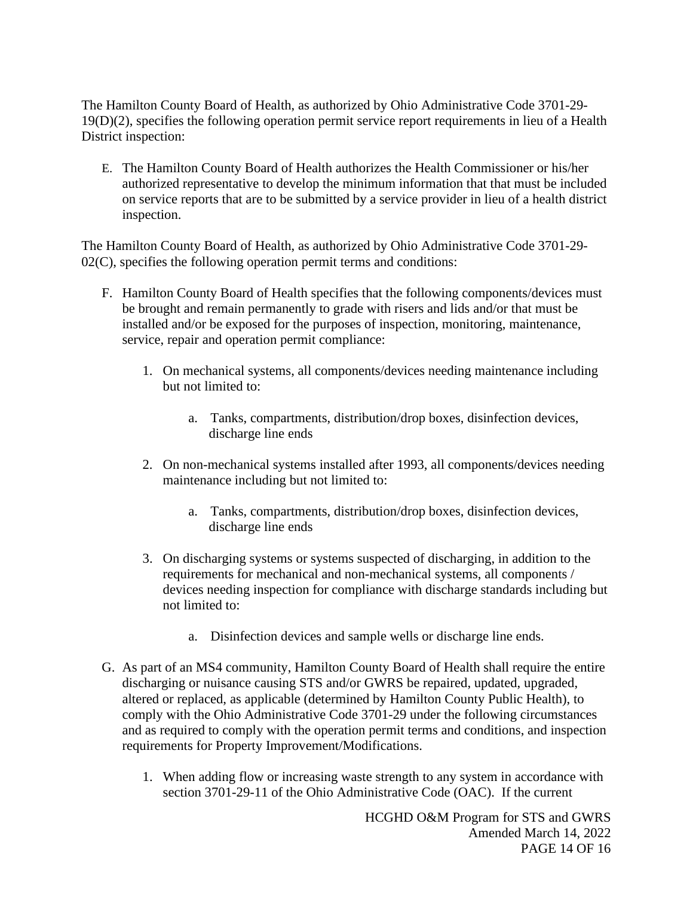The Hamilton County Board of Health, as authorized by Ohio Administrative Code 3701-29- 19(D)(2), specifies the following operation permit service report requirements in lieu of a Health District inspection:

E. The Hamilton County Board of Health authorizes the Health Commissioner or his/her authorized representative to develop the minimum information that that must be included on service reports that are to be submitted by a service provider in lieu of a health district inspection.

The Hamilton County Board of Health, as authorized by Ohio Administrative Code 3701-29- 02(C), specifies the following operation permit terms and conditions:

- F. Hamilton County Board of Health specifies that the following components/devices must be brought and remain permanently to grade with risers and lids and/or that must be installed and/or be exposed for the purposes of inspection, monitoring, maintenance, service, repair and operation permit compliance:
	- 1. On mechanical systems, all components/devices needing maintenance including but not limited to:
		- a. Tanks, compartments, distribution/drop boxes, disinfection devices, discharge line ends
	- 2. On non-mechanical systems installed after 1993, all components/devices needing maintenance including but not limited to:
		- a. Tanks, compartments, distribution/drop boxes, disinfection devices, discharge line ends
	- 3. On discharging systems or systems suspected of discharging, in addition to the requirements for mechanical and non-mechanical systems, all components / devices needing inspection for compliance with discharge standards including but not limited to:
		- a. Disinfection devices and sample wells or discharge line ends.
- G. As part of an MS4 community, Hamilton County Board of Health shall require the entire discharging or nuisance causing STS and/or GWRS be repaired, updated, upgraded, altered or replaced, as applicable (determined by Hamilton County Public Health), to comply with the Ohio Administrative Code 3701-29 under the following circumstances and as required to comply with the operation permit terms and conditions, and inspection requirements for Property Improvement/Modifications.
	- 1. When adding flow or increasing waste strength to any system in accordance with section 3701-29-11 of the Ohio Administrative Code (OAC). If the current

HCGHD O&M Program for STS and GWRS Amended March 14, 2022 PAGE 14 OF 16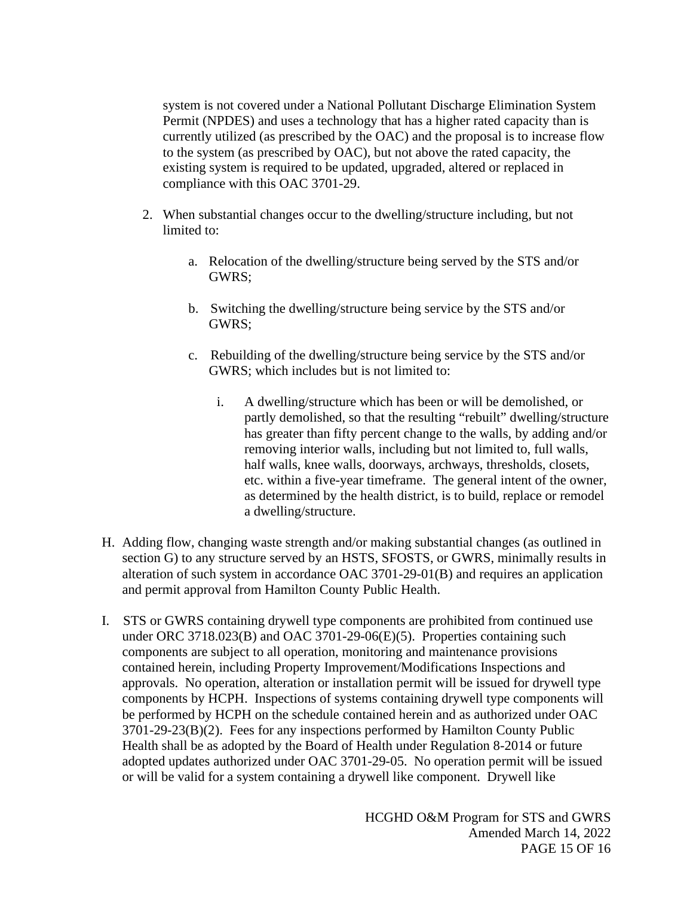system is not covered under a National Pollutant Discharge Elimination System Permit (NPDES) and uses a technology that has a higher rated capacity than is currently utilized (as prescribed by the OAC) and the proposal is to increase flow to the system (as prescribed by OAC), but not above the rated capacity, the existing system is required to be updated, upgraded, altered or replaced in compliance with this OAC 3701-29.

- 2. When substantial changes occur to the dwelling/structure including, but not limited to:
	- a. Relocation of the dwelling/structure being served by the STS and/or GWRS;
	- b. Switching the dwelling/structure being service by the STS and/or GWRS;
	- c. Rebuilding of the dwelling/structure being service by the STS and/or GWRS; which includes but is not limited to:
		- i. A dwelling/structure which has been or will be demolished, or partly demolished, so that the resulting "rebuilt" dwelling/structure has greater than fifty percent change to the walls, by adding and/or removing interior walls, including but not limited to, full walls, half walls, knee walls, doorways, archways, thresholds, closets, etc. within a five-year timeframe. The general intent of the owner, as determined by the health district, is to build, replace or remodel a dwelling/structure.
- H. Adding flow, changing waste strength and/or making substantial changes (as outlined in section G) to any structure served by an HSTS, SFOSTS, or GWRS, minimally results in alteration of such system in accordance OAC 3701-29-01(B) and requires an application and permit approval from Hamilton County Public Health.
- I. STS or GWRS containing drywell type components are prohibited from continued use under ORC 3718.023(B) and OAC 3701-29-06(E)(5). Properties containing such components are subject to all operation, monitoring and maintenance provisions contained herein, including Property Improvement/Modifications Inspections and approvals. No operation, alteration or installation permit will be issued for drywell type components by HCPH. Inspections of systems containing drywell type components will be performed by HCPH on the schedule contained herein and as authorized under OAC 3701-29-23(B)(2). Fees for any inspections performed by Hamilton County Public Health shall be as adopted by the Board of Health under Regulation 8-2014 or future adopted updates authorized under OAC 3701-29-05. No operation permit will be issued or will be valid for a system containing a drywell like component. Drywell like